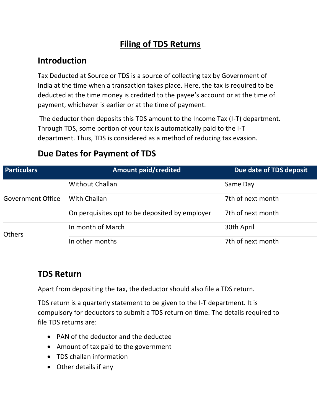# **Filing of TDS Returns**

# **Introduction**

Tax Deducted at Source or TDS is a source of collecting tax by Government of India at the time when a transaction takes place. Here, the tax is required to be deducted at the time money is credited to the payee's account or at the time of payment, whichever is earlier or at the time of payment.

The deductor then deposits this TDS amount to the Income Tax (I-T) department. Through TDS, some portion of your tax is automatically paid to the I-T department. Thus, TDS is considered as a method of reducing tax evasion.

| <b>Particulars</b> | <b>Amount paid/credited</b>                    | Due date of TDS deposit |
|--------------------|------------------------------------------------|-------------------------|
| Government Office  | <b>Without Challan</b>                         | Same Day                |
|                    | With Challan                                   | 7th of next month       |
|                    | On perquisites opt to be deposited by employer | 7th of next month       |
| <b>Others</b>      | In month of March                              | 30th April              |
|                    | In other months                                | 7th of next month       |

#### **Due Dates for Payment of TDS**

#### **TDS Return**

Apart from depositing the tax, the deductor should also file a TDS return.

TDS return is a quarterly statement to be given to the I-T department. It is compulsory for deductors to submit a TDS return on time. The details required to file TDS returns are:

- [PAN](https://www.paisabazaar.com/pan-card/) of the deductor and the deductee
- Amount of tax paid to the government
- TDS challan information
- Other details if any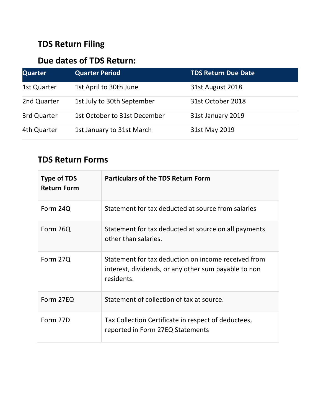# **TDS Return Filing**

# **Due dates of TDS Return:**

| <b>Quarter</b> | <b>Quarter Period</b>        | <b>TDS Return Due Date</b> |
|----------------|------------------------------|----------------------------|
| 1st Quarter    | 1st April to 30th June       | 31st August 2018           |
| 2nd Quarter    | 1st July to 30th September   | 31st October 2018          |
| 3rd Quarter    | 1st October to 31st December | 31st January 2019          |
| 4th Quarter    | 1st January to 31st March    | 31st May 2019              |

### **TDS Return Forms**

| <b>Type of TDS</b><br><b>Return Form</b> | <b>Particulars of the TDS Return Form</b>                                                                                 |
|------------------------------------------|---------------------------------------------------------------------------------------------------------------------------|
| Form 24Q                                 | Statement for tax deducted at source from salaries                                                                        |
| Form 26Q                                 | Statement for tax deducted at source on all payments<br>other than salaries.                                              |
| Form 27Q                                 | Statement for tax deduction on income received from<br>interest, dividends, or any other sum payable to non<br>residents. |
| Form 27EQ                                | Statement of collection of tax at source.                                                                                 |
| Form 27D                                 | Tax Collection Certificate in respect of deductees,<br>reported in Form 27EQ Statements                                   |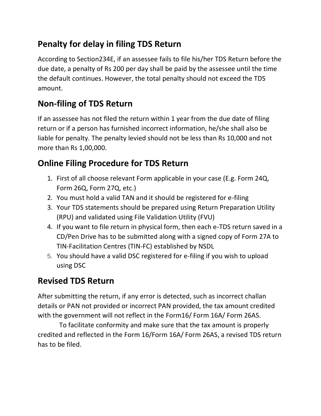# **Penalty for delay in filing TDS Return**

According to Section234E, if an assessee fails to file his/her TDS Return before the due date, a penalty of Rs 200 per day shall be paid by the assessee until the time the default continues. However, the total penalty should not exceed the TDS amount.

# **Non-filing of TDS Return**

If an assessee has not filed the return within 1 year from the due date of filing return or if a person has furnished incorrect information, he/she shall also be liable for penalty. The penalty levied should not be less than Rs 10,000 and not more than Rs 1,00,000.

# **Online Filing Procedure for TDS Return**

- 1. First of all choose relevant Form applicable in your case (E.g. Form 24Q, Form 26Q, Form 27Q, etc.)
- 2. You must hold a valid TAN and it should be registered for e-filing
- 3. Your TDS statements should be prepared using Return Preparation Utility (RPU) and validated using File Validation Utility (FVU)
- 4. If you want to file return in physical form, then each e-TDS return saved in a CD/Pen Drive has to be submitted along with a signed copy of Form 27A to TIN-Facilitation Centres (TIN-FC) established by NSDL
- 5. You should have a valid DSC registered for e-filing if you wish to upload using DSC

### **Revised TDS Return**

After submitting the return, if any error is detected, such as incorrect challan details or PAN not provided or incorrect PAN provided, the tax amount credited with the government will not reflect in the Form16/ Form 16A/ Form 26AS.

 To facilitate conformity and make sure that the tax amount is properly credited and reflected in the Form 16/Form 16A/ Form 26AS, a revised TDS return has to be filed.